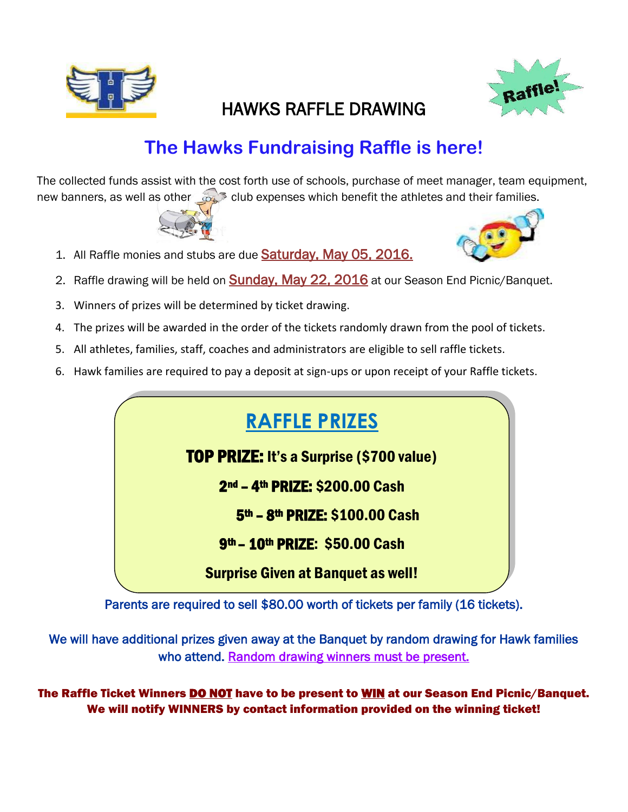

# Raffle!

## HAWKS RAFFLE DRAWING

# **The Hawks Fundraising Raffle is here!**

The collected funds assist with the cost forth use of schools, purchase of meet manager, team equipment, new banners, as well as other  $\infty$  club expenses which benefit the athletes and their families.



- 1. All Raffle monies and stubs are due Saturday, May 05, 2016.
- 2. Raffle drawing will be held on **Sunday, May 22, 2016** at our Season End Picnic/Banquet.
- 3. Winners of prizes will be determined by ticket drawing.
- 4. The prizes will be awarded in the order of the tickets randomly drawn from the pool of tickets.
- 5. All athletes, families, staff, coaches and administrators are eligible to sell raffle tickets.
- 6. Hawk families are required to pay a deposit at sign-ups or upon receipt of your Raffle tickets.

# **RAFFLE PRIZES**

TOP PRIZE: It's a Surprise (\$700 value)

2<sup>nd</sup> - 4<sup>th</sup> PRIZE: \$200.00 Cash

5th - 8th PRIZE: \$100.00 Cash

l. <mark>9<sup>th</sup> – 10<sup>th</sup> PRIZE:</mark> \$50.00 Cash

 Surprise Given at Banquet as well!

Parents are required to sell \$80.00 worth of tickets per family (16 tickets). j

We will have additional prizes given away at the Banquet by random drawing for Hawk families who attend. Random drawing winners must be present.

The Raffle Ticket Winners **DO NOT** have to be present to **WIN** at our Season End Picnic/Banquet. We will notify WINNERS by contact information provided on the winning ticket!